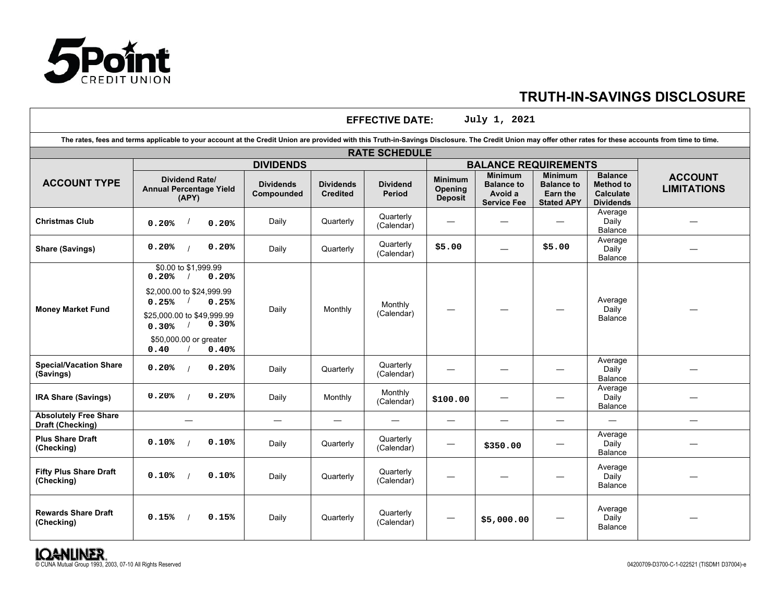

 $\Gamma$ 

# **TRUTH-IN-SAVINGS DISCLOSURE**

| July 1, 2021<br><b>EFFECTIVE DATE:</b>           |                                                                                                                                                                                                           |                                |                                     |                           |                                             |                                                                      |                                                                             |                                                                            |                                      |
|--------------------------------------------------|-----------------------------------------------------------------------------------------------------------------------------------------------------------------------------------------------------------|--------------------------------|-------------------------------------|---------------------------|---------------------------------------------|----------------------------------------------------------------------|-----------------------------------------------------------------------------|----------------------------------------------------------------------------|--------------------------------------|
|                                                  | The rates, fees and terms applicable to your account at the Credit Union are provided with this Truth-in-Savings Disclosure. The Credit Union may offer other rates for these accounts from time to time. |                                |                                     |                           |                                             |                                                                      |                                                                             |                                                                            |                                      |
|                                                  | <b>RATE SCHEDULE</b>                                                                                                                                                                                      |                                |                                     |                           |                                             |                                                                      |                                                                             |                                                                            |                                      |
|                                                  | <b>DIVIDENDS</b>                                                                                                                                                                                          |                                |                                     |                           |                                             | <b>BALANCE REQUIREMENTS</b>                                          |                                                                             |                                                                            |                                      |
| <b>ACCOUNT TYPE</b>                              | <b>Dividend Rate/</b><br><b>Annual Percentage Yield</b><br>(APY)                                                                                                                                          | <b>Dividends</b><br>Compounded | <b>Dividends</b><br><b>Credited</b> | <b>Dividend</b><br>Period | <b>Minimum</b><br>Opening<br><b>Deposit</b> | <b>Minimum</b><br><b>Balance to</b><br>Avoid a<br><b>Service Fee</b> | <b>Minimum</b><br><b>Balance to</b><br><b>Earn the</b><br><b>Stated APY</b> | <b>Balance</b><br><b>Method to</b><br><b>Calculate</b><br><b>Dividends</b> | <b>ACCOUNT</b><br><b>LIMITATIONS</b> |
| <b>Christmas Club</b>                            | 0.20%<br>0.20%                                                                                                                                                                                            | Daily                          | Quarterly                           | Quarterly<br>(Calendar)   |                                             |                                                                      |                                                                             | Average<br>Daily<br>Balance                                                |                                      |
| <b>Share (Savings)</b>                           | 0.20%<br>0.20%                                                                                                                                                                                            | Daily                          | Quarterly                           | Quarterly<br>(Calendar)   | \$5.00                                      |                                                                      | \$5.00                                                                      | Average<br>Daily<br>Balance                                                |                                      |
| <b>Money Market Fund</b>                         | \$0.00 to \$1,999.99<br>0.20%<br>0.20%<br>\$2,000.00 to \$24,999.99<br>0.25%<br>0.25%<br>\$25,000.00 to \$49,999.99<br>0.30%<br>0.30%<br>\$50,000.00 or greater<br>0.40<br>0.40%                          | Daily                          | Monthly                             | Monthly<br>(Calendar)     |                                             |                                                                      |                                                                             | Average<br>Daily<br><b>Balance</b>                                         |                                      |
| <b>Special/Vacation Share</b><br>(Savings)       | 0.20%<br>0.20%<br>$\overline{1}$                                                                                                                                                                          | Daily                          | Quarterly                           | Quarterly<br>(Calendar)   |                                             |                                                                      |                                                                             | Average<br>Daily<br>Balance                                                |                                      |
| <b>IRA Share (Savings)</b>                       | 0.20%<br>0.20%                                                                                                                                                                                            | Daily                          | Monthly                             | Monthly<br>(Calendar)     | \$100.00                                    |                                                                      |                                                                             | Average<br>Daily<br><b>Balance</b>                                         |                                      |
| <b>Absolutely Free Share</b><br>Draft (Checking) | $\overline{\phantom{0}}$                                                                                                                                                                                  | $\overline{\phantom{0}}$       |                                     | $\overline{\phantom{0}}$  |                                             |                                                                      | —                                                                           |                                                                            | $\overline{\phantom{0}}$             |
| <b>Plus Share Draft</b><br>(Checking)            | 0.10%<br>0.10%                                                                                                                                                                                            | Daily                          | Quarterly                           | Quarterly<br>(Calendar)   |                                             | \$350.00                                                             |                                                                             | Average<br>Daily<br>Balance                                                |                                      |
| <b>Fifty Plus Share Draft</b><br>(Checking)      | 0.10%<br>0.10%                                                                                                                                                                                            | Daily                          | Quarterly                           | Quarterly<br>(Calendar)   |                                             |                                                                      |                                                                             | Average<br>Daily<br>Balance                                                |                                      |
| <b>Rewards Share Draft</b><br>(Checking)         | 0.15%<br>0.15%                                                                                                                                                                                            | Daily                          | Quarterly                           | Quarterly<br>(Calendar)   |                                             | \$5,000.00                                                           |                                                                             | Average<br>Daily<br><b>Balance</b>                                         |                                      |

O CUNA MUTUAL Group 1993, 2003, 07-10 All Rights Reserved COUNA Mutual Group 1993, 2003, 07-10 All Rights Reserved COUNA Mutual Group 1993, 2003, 07-10 All Rights Reserved COUNA Mutual Group 1993, 2003, 07-10 All Rights Re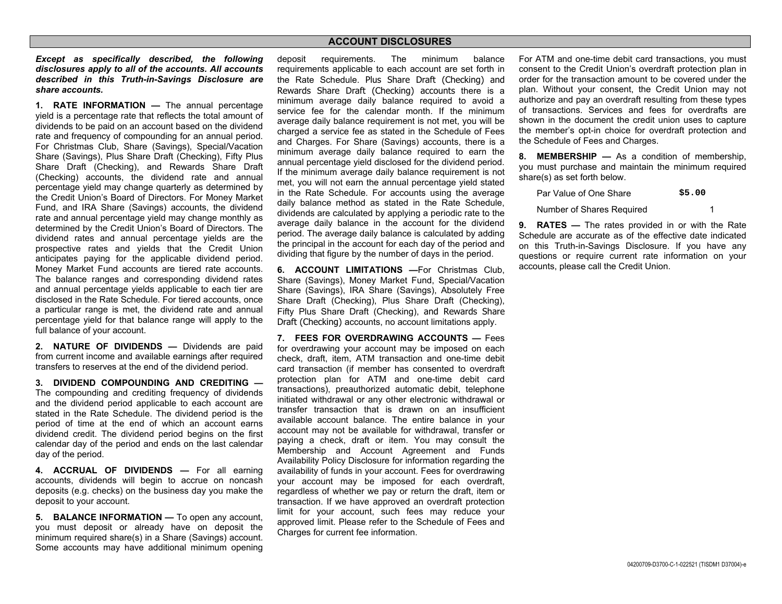## **ACCOUNT DISCLOSURES**

*Except as specifically described, the following disclosures apply to all of the accounts. All accounts described in this Truth-in-Savings Disclosure are share accounts.* 

**1. RATE INFORMATION —** The annual percentage yield is a percentage rate that reflects the total amount of dividends to be paid on an account based on the dividend rate and frequency of compounding for an annual period. For Christmas Club, Share (Savings), Special/Vacation Share (Savings), Plus Share Draft (Checking), Fifty Plus Share Draft (Checking), and Rewards Share Draft (Checking) accounts, the dividend rate and annual percentage yield may change quarterly as determined by the Credit Union's Board of Directors. For Money Market Fund, and IRA Share (Savings) accounts, the dividend rate and annual percentage yield may change monthly as determined by the Credit Union's Board of Directors. The dividend rates and annual percentage yields are the prospective rates and yields that the Credit Union anticipates paying for the applicable dividend period. Money Market Fund accounts are tiered rate accounts. The balance ranges and corresponding dividend rates and annual percentage yields applicable to each tier are disclosed in the Rate Schedule. For tiered accounts, once a particular range is met, the dividend rate and annual percentage yield for that balance range will apply to the full balance of your account.

**2. NATURE OF DIVIDENDS —** Dividends are paid from current income and available earnings after required transfers to reserves at the end of the dividend period.

**3. DIVIDEND COMPOUNDING AND CREDITING —** The compounding and crediting frequency of dividends and the dividend period applicable to each account are stated in the Rate Schedule. The dividend period is the period of time at the end of which an account earns dividend credit. The dividend period begins on the first calendar day of the period and ends on the last calendar day of the period.

**4. ACCRUAL OF DIVIDENDS —** For all earning accounts, dividends will begin to accrue on noncash deposits (e.g. checks) on the business day you make the deposit to your account.

**5. BALANCE INFORMATION —** To open any account, you must deposit or already have on deposit the minimum required share(s) in a Share (Savings) account. Some accounts may have additional minimum opening deposit requirements. The minimum balance requirements applicable to each account are set forth in the Rate Schedule. Plus Share Draft (Checking) and Rewards Share Draft (Checking) accounts there is a minimum average daily balance required to avoid a service fee for the calendar month. If the minimum average daily balance requirement is not met, you will be charged a service fee as stated in the Schedule of Fees and Charges. For Share (Savings) accounts, there is a minimum average daily balance required to earn the annual percentage yield disclosed for the dividend period. If the minimum average daily balance requirement is not met, you will not earn the annual percentage yield stated in the Rate Schedule. For accounts using the average daily balance method as stated in the Rate Schedule, dividends are calculated by applying a periodic rate to the average daily balance in the account for the dividend period. The average daily balance is calculated by adding the principal in the account for each day of the period and dividing that figure by the number of days in the period.

**6. ACCOUNT LIMITATIONS —**For Christmas Club, Share (Savings), Money Market Fund, Special/Vacation Share (Savings), IRA Share (Savings), Absolutely Free Share Draft (Checking), Plus Share Draft (Checking), Fifty Plus Share Draft (Checking), and Rewards Share Draft (Checking) accounts, no account limitations apply.

**7. FEES FOR OVERDRAWING ACCOUNTS —** Fees for overdrawing your account may be imposed on each check, draft, item, ATM transaction and one-time debit card transaction (if member has consented to overdraft protection plan for ATM and one-time debit card transactions), preauthorized automatic debit, telephone initiated withdrawal or any other electronic withdrawal or transfer transaction that is drawn on an insufficient available account balance. The entire balance in your account may not be available for withdrawal, transfer or paying a check, draft or item. You may consult the Membership and Account Agreement and Funds Availability Policy Disclosure for information regarding the availability of funds in your account. Fees for overdrawing your account may be imposed for each overdraft, regardless of whether we pay or return the draft, item or transaction. If we have approved an overdraft protection limit for your account, such fees may reduce your approved limit. Please refer to the Schedule of Fees and Charges for current fee information.

For ATM and one-time debit card transactions, you must consent to the Credit Union's overdraft protection plan in order for the transaction amount to be covered under the plan. Without your consent, the Credit Union may not authorize and pay an overdraft resulting from these types of transactions. Services and fees for overdrafts are shown in the document the credit union uses to capture the member's opt-in choice for overdraft protection and the Schedule of Fees and Charges.

**8. MEMBERSHIP —** As a condition of membership, you must purchase and maintain the minimum required share(s) as set forth below.

| Par Value of One Share    | \$5.00 |
|---------------------------|--------|
| Number of Shares Required |        |

**9. RATES —** The rates provided in or with the Rate Schedule are accurate as of the effective date indicated on this Truth-in-Savings Disclosure. If you have any questions or require current rate information on your accounts, please call the Credit Union.